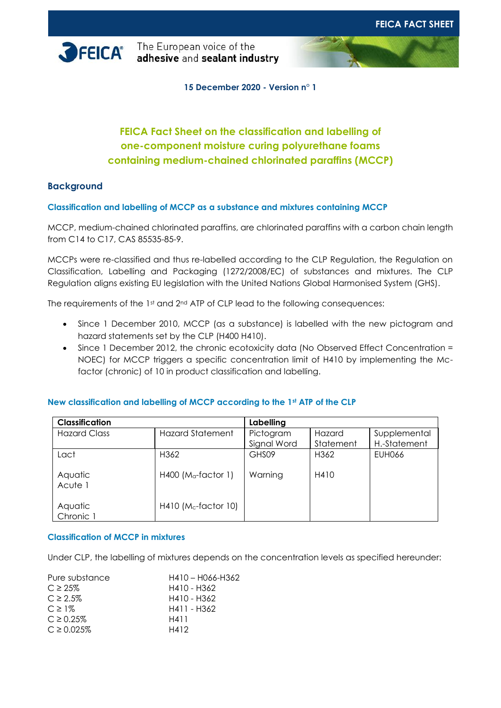

**FEICA** The European voice of the<br>**FEICA** adhesive and sealant industry

**15 December 2020 - Version n° 1**

# **FEICA Fact Sheet on the classification and labelling of one-component moisture curing polyurethane foams containing medium-chained chlorinated paraffins (MCCP)**

# **Background**

**Classification and labelling of MCCP as a substance and mixtures containing MCCP**

MCCP, medium-chained chlorinated paraffins, are chlorinated paraffins with a carbon chain length from C14 to C17, CAS 85535-85-9.

MCCPs were re-classified and thus re-labelled according to the CLP Regulation, the Regulation on Classification, Labelling and Packaging (1272/2008/EC) of substances and mixtures. The CLP Regulation aligns existing EU legislation with the United Nations Global Harmonised System (GHS).

The requirements of the 1st and 2<sup>nd</sup> ATP of CLP lead to the following consequences:

- Since 1 December 2010, MCCP (as a substance) is labelled with the new pictogram and hazard statements set by the CLP (H400 H410).
- Since 1 December 2012, the chronic ecotoxicity data (No Observed Effect Concentration = NOEC) for MCCP triggers a specific concentration limit of H410 by implementing the Mcfactor (chronic) of 10 in product classification and labelling.

| <b>Classification</b> |                                   | Labelling   |                  |              |
|-----------------------|-----------------------------------|-------------|------------------|--------------|
| <b>Hazard Class</b>   | <b>Hazard Statement</b>           | Pictogram   | Hazard           | Supplemental |
|                       |                                   | Signal Word | Statement        | H.-Statement |
| Lact                  | H362                              | GHS09       | H <sub>362</sub> | EUH066       |
| Aquatic<br>Acute 1    | $H400$ (M <sub>a</sub> -factor 1) | Warning     | H410             |              |
| Aquatic<br>Chronic 1  | $H410$ (Mc-factor 10)             |             |                  |              |

# **New classification and labelling of MCCP according to the 1st ATP of the CLP**

### **Classification of MCCP in mixtures**

Under CLP, the labelling of mixtures depends on the concentration levels as specified hereunder:

| Pure substance  | H410 - H066-H362 |  |  |
|-----------------|------------------|--|--|
| $C \geq 25\%$   | H410 - H362      |  |  |
| $C \ge 2.5\%$   | H410 - H362      |  |  |
| $C \geq 1\%$    | H411 - H362      |  |  |
| $C \ge 0.25\%$  | H411             |  |  |
| $C \ge 0.025\%$ | H412             |  |  |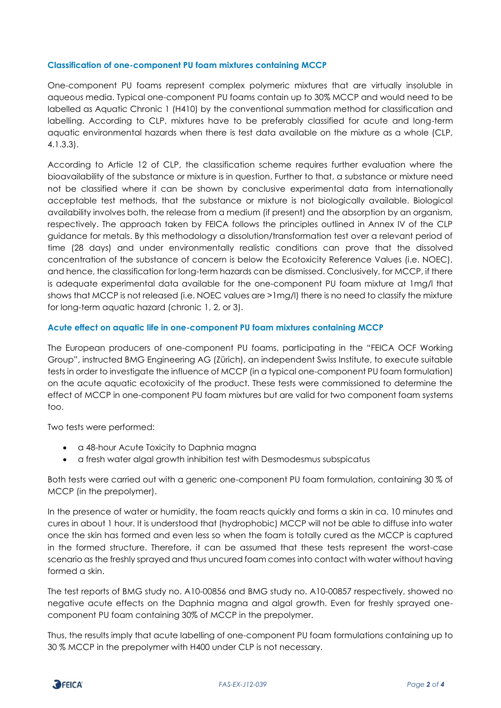### **Classification of one-component PU foam mixtures containing MCCP**

One-component PU foams represent complex polymeric mixtures that are virtually insoluble in aqueous media. Typical one-component PU foams contain up to 30% MCCP and would need to be labelled as Aquatic Chronic 1 (H410) by the conventional summation method for classification and labelling. According to CLP, mixtures have to be preferably classified for acute and long-term aquatic environmental hazards when there is test data available on the mixture as a whole (CLP, 4.1.3.3).

According to Article 12 of CLP, the classification scheme requires further evaluation where the bioavailability of the substance or mixture is in question. Further to that, a substance or mixture need not be classified where it can be shown by conclusive experimental data from internationally acceptable test methods, that the substance or mixture is not biologically available. Biological availability involves both, the release from a medium (if present) and the absorption by an organism, respectively. The approach taken by FEICA follows the principles outlined in Annex IV of the CLP guidance for metals. By this methodology a dissolution/transformation test over a relevant period of time (28 days) and under environmentally realistic conditions can prove that the dissolved concentration of the substance of concern is below the Ecotoxicity Reference Values (i.e. NOEC), and hence, the classification for long-term hazards can be dismissed. Conclusively, for MCCP, if there is adequate experimental data available for the one-component PU foam mixture at 1mg/l that shows that MCCP is not released (i.e. NOEC values are >1mg/l) there is no need to classify the mixture for long-term aquatic hazard (chronic 1, 2, or 3).

### **Acute effect on aquatic life in one-component PU foam mixtures containing MCCP**

The European producers of one-component PU foams, participating in the "FEICA OCF Working Group", instructed BMG Engineering AG (Zürich), an independent Swiss Institute, to execute suitable tests in order to investigate the influence of MCCP (in a typical one-component PU foam formulation) on the acute aquatic ecotoxicity of the product. These tests were commissioned to determine the effect of MCCP in one-component PU foam mixtures but are valid for two component foam systems too.

Two tests were performed:

- a 48-hour Acute Toxicity to Daphnia magna
- a fresh water algal growth inhibition test with Desmodesmus subspicatus

Both tests were carried out with a generic one-component PU foam formulation, containing 30 % of MCCP (in the prepolymer).

In the presence of water or humidity, the foam reacts quickly and forms a skin in ca. 10 minutes and cures in about 1 hour. It is understood that (hydrophobic) MCCP will not be able to diffuse into water once the skin has formed and even less so when the foam is totally cured as the MCCP is captured in the formed structure. Therefore, it can be assumed that these tests represent the worst-case scenario as the freshly sprayed and thus uncured foam comes into contact with water without having formed a skin.

The test reports of BMG study no. A10-00856 and BMG study no. A10-00857 respectively, showed no negative acute effects on the Daphnia magna and algal growth. Even for freshly sprayed onecomponent PU foam containing 30% of MCCP in the prepolymer.

Thus, the results imply that acute labelling of one-component PU foam formulations containing up to 30 % MCCP in the prepolymer with H400 under CLP is not necessary.

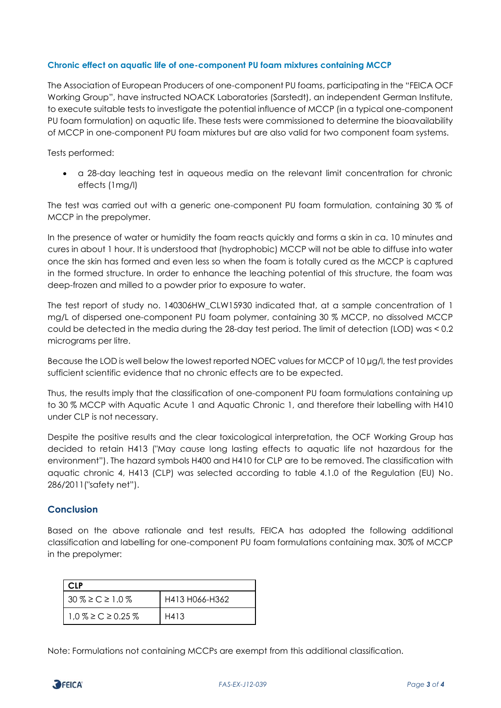## **Chronic effect on aquatic life of one-component PU foam mixtures containing MCCP**

The Association of European Producers of one-component PU foams, participating in the "FEICA OCF Working Group", have instructed NOACK Laboratories (Sarstedt), an independent German Institute, to execute suitable tests to investigate the potential influence of MCCP (in a typical one-component PU foam formulation) on aquatic life. These tests were commissioned to determine the bioavailability of MCCP in one-component PU foam mixtures but are also valid for two component foam systems.

Tests performed:

• a 28-day leaching test in aqueous media on the relevant limit concentration for chronic effects (1mg/l)

The test was carried out with a generic one-component PU foam formulation, containing 30 % of MCCP in the prepolymer.

In the presence of water or humidity the foam reacts quickly and forms a skin in ca. 10 minutes and cures in about 1 hour. It is understood that (hydrophobic) MCCP will not be able to diffuse into water once the skin has formed and even less so when the foam is totally cured as the MCCP is captured in the formed structure. In order to enhance the leaching potential of this structure, the foam was deep-frozen and milled to a powder prior to exposure to water.

The test report of study no. 140306HW\_CLW15930 indicated that, at a sample concentration of 1 mg/L of dispersed one-component PU foam polymer, containing 30 % MCCP, no dissolved MCCP could be detected in the media during the 28-day test period. The limit of detection (LOD) was < 0.2 micrograms per litre.

Because the LOD is well below the lowest reported NOEC values for MCCP of 10 µg/l, the test provides sufficient scientific evidence that no chronic effects are to be expected.

Thus, the results imply that the classification of one-component PU foam formulations containing up to 30 % MCCP with Aquatic Acute 1 and Aquatic Chronic 1, and therefore their labelling with H410 under CLP is not necessary.

Despite the positive results and the clear toxicological interpretation, the OCF Working Group has decided to retain H413 ("May cause long lasting effects to aquatic life not hazardous for the environment"). The hazard symbols H400 and H410 for CLP are to be removed. The classification with aquatic chronic 4, H413 (CLP) was selected according to table 4.1.0 of the Regulation (EU) No. 286/2011("safety net").

# **Conclusion**

Based on the above rationale and test results, FEICA has adopted the following additional classification and labelling for one-component PU foam formulations containing max. 30% of MCCP in the prepolymer:

| CI P                     |                |  |  |
|--------------------------|----------------|--|--|
| $30\% \ge C \ge 1.0\%$   | H413 H066-H362 |  |  |
| $1.0\% \ge C \ge 0.25\%$ | H413           |  |  |

Note: Formulations not containing MCCPs are exempt from this additional classification.